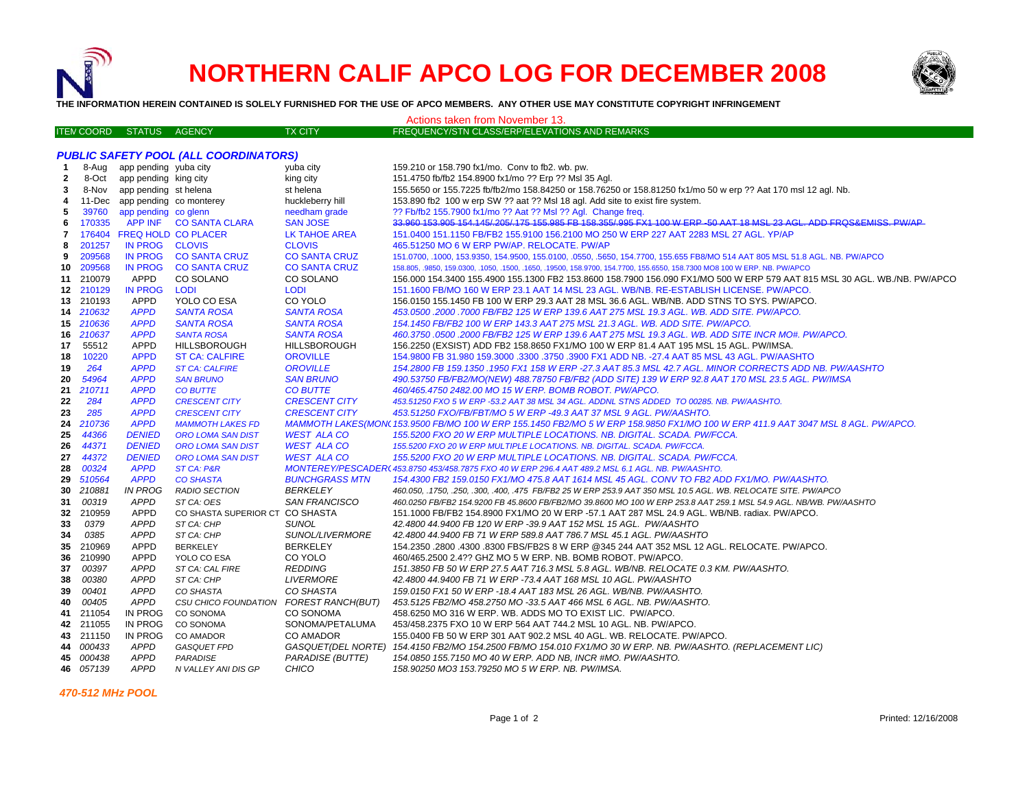



**THE INFORMATION HEREIN CONTAINED IS SOLELY FURNISHED FOR THE USE OF APCO MEMBERS. ANY OTHER USE MAY CONSTITUTE COPYRIGHT INFRINGEMENT**

|                                              | Actions taken from November 13. |                                |                                               |                          |                                                                                                                                                            |  |  |  |  |  |  |
|----------------------------------------------|---------------------------------|--------------------------------|-----------------------------------------------|--------------------------|------------------------------------------------------------------------------------------------------------------------------------------------------------|--|--|--|--|--|--|
|                                              | <b>ITEN COORD</b>               | <b>STATUS</b>                  | AGENCY                                        | <b>TX CITY</b>           | FREQUENCY/STN CLASS/ERP/ELEVATIONS AND REMARKS                                                                                                             |  |  |  |  |  |  |
|                                              |                                 |                                |                                               |                          |                                                                                                                                                            |  |  |  |  |  |  |
| <b>PUBLIC SAFETY POOL (ALL COORDINATORS)</b> |                                 |                                |                                               |                          |                                                                                                                                                            |  |  |  |  |  |  |
| -1                                           | 8-Aug                           | app pending yuba city          |                                               | yuba city                | 159.210 or 158.790 fx1/mo. Conv to fb2. wb. pw.                                                                                                            |  |  |  |  |  |  |
| $\mathbf{2}$                                 | 8-Oct                           | app pending king city          |                                               | king city                | 151.4750 fb/fb2 154.8900 fx1/mo ?? Erp ?? Msl 35 Agl.                                                                                                      |  |  |  |  |  |  |
| 3                                            | 8-Nov                           | app pending st helena          |                                               | st helena                | 155.5650 or 155.7225 fb/fb2/mo 158.84250 or 158.76250 or 158.81250 fx1/mo 50 w erp ?? Aat 170 msl 12 agl. Nb.                                              |  |  |  |  |  |  |
| 4                                            |                                 | 11-Dec app pending co monterey |                                               | huckleberry hill         | 153.890 fb2 100 w erp SW ?? aat ?? Msl 18 agl. Add site to exist fire system.                                                                              |  |  |  |  |  |  |
| 5                                            | 39760                           | app pending co glenn           |                                               | needham grade            | ?? Fb/fb2 155.7900 fx1/mo ?? Aat ?? Msl ?? Agl. Change freq.                                                                                               |  |  |  |  |  |  |
| 6                                            | 170335                          |                                | APP INF CO SANTA CLARA                        | <b>SAN JOSE</b>          | 33,960 153,905 154,145/,205/,175 155,985 FB 158,355/,995 FX1 100 W ERP -50 AAT 18 MSL 23 AGL. ADD FRQS&EMISS, PW/AP                                        |  |  |  |  |  |  |
| 7                                            |                                 | 176404 FREQ HOLD CO PLACER     |                                               | <b>LK TAHOE AREA</b>     | 151.0400 151.1150 FB/FB2 155.9100 156.2100 MO 250 W ERP 227 AAT 2283 MSL 27 AGL. YP/AP                                                                     |  |  |  |  |  |  |
| 8                                            | 201257                          | IN PROG CLOVIS                 |                                               | <b>CLOVIS</b>            | 465.51250 MO 6 W ERP PW/AP. RELOCATE. PW/AP                                                                                                                |  |  |  |  |  |  |
| 9                                            | 209568                          |                                | IN PROG CO SANTA CRUZ                         | <b>CO SANTA CRUZ</b>     | 151.0700, .1000, 153.9350, 154.9500, 155.0100, .0550, .5650, 154.7700, 155.655 FB8/MO 514 AAT 805 MSL 51.8 AGL. NB. PW/APCO                                |  |  |  |  |  |  |
| 10                                           | 209568                          |                                | IN PROG CO SANTA CRUZ                         | <b>CO SANTA CRUZ</b>     | 158.805, .9850, 159.0300, .1050, .1500, .1650, .19500, 158.9700, 154.7700, 155.6550, 158.7300 MO8 100 W ERP. NB. PW/APCO                                   |  |  |  |  |  |  |
|                                              | 11 210079                       | APPD                           | CO SOLANO                                     | CO SOLANO                | 156.000 154.3400 155.4900 155.1300 FB2 153.8600 158.7900 156.090 FX1/MO 500 W ERP 579 AAT 815 MSL 30 AGL. WB./NB. PW/APCO                                  |  |  |  |  |  |  |
|                                              | 12 210129                       | <b>IN PROG</b>                 | <b>LODI</b>                                   | <b>LODI</b>              | 151.1600 FB/MO 160 W ERP 23.1 AAT 14 MSL 23 AGL. WB/NB. RE-ESTABLISH LICENSE. PW/APCO.                                                                     |  |  |  |  |  |  |
|                                              | 13 210193                       | <b>APPD</b>                    | YOLO CO ESA                                   | CO YOLO                  | 156.0150 155.1450 FB 100 W ERP 29.3 AAT 28 MSL 36.6 AGL. WB/NB. ADD STNS TO SYS. PW/APCO.                                                                  |  |  |  |  |  |  |
|                                              | 14 210632                       | <b>APPD</b>                    | <b>SANTA ROSA</b>                             | <b>SANTA ROSA</b>        | 453.0500 .2000 .7000 FB/FB2 125 W ERP 139.6 AAT 275 MSL 19.3 AGL. WB. ADD SITE. PW/APCO.                                                                   |  |  |  |  |  |  |
|                                              | 15 210636                       | <b>APPD</b>                    | <b>SANTA ROSA</b>                             | <b>SANTA ROSA</b>        | 154.1450 FB/FB2 100 W ERP 143.3 AAT 275 MSL 21.3 AGL. WB. ADD SITE. PW/APCO.                                                                               |  |  |  |  |  |  |
| 16                                           | 210637                          | <b>APPD</b>                    | <b>SANTA ROSA</b>                             | <b>SANTA ROSA</b>        | 460.3750 .0500 .2000 FB/FB2 125 W ERP 139.6 AAT 275 MSL 19.3 AGL. WB. ADD SITE INCR MO#. PW/APCO.                                                          |  |  |  |  |  |  |
| 17                                           | 55512                           | <b>APPD</b>                    | <b>HILLSBOROUGH</b>                           | <b>HILLSBOROUGH</b>      | 156.2250 (EXSIST) ADD FB2 158.8650 FX1/MO 100 W ERP 81.4 AAT 195 MSL 15 AGL. PW/IMSA.                                                                      |  |  |  |  |  |  |
| 18                                           | 10220                           | <b>APPD</b>                    | <b>ST CA: CALFIRE</b>                         | <b>OROVILLE</b>          | 154.9800 FB 31.980 159.3000 .3300 .3750 .3900 FX1 ADD NB. -27.4 AAT 85 MSL 43 AGL. PW/AASHTO                                                               |  |  |  |  |  |  |
| 19                                           | 264                             | <b>APPD</b>                    | <b>ST CA: CALFIRE</b>                         | <b>OROVILLE</b>          | 154.2800 FB 159.1350 .1950 FX1 158 W ERP -27.3 AAT 85.3 MSL 42.7 AGL. MINOR CORRECTS ADD NB. PW/AASHTO                                                     |  |  |  |  |  |  |
|                                              | 54964                           | <b>APPD</b>                    | <b>SAN BRUNO</b>                              | <b>SAN BRUNO</b>         | 490.53750 FB/FB2/MO(NEW) 488.78750 FB/FB2 (ADD SITE) 139 W ERP 92.8 AAT 170 MSL 23.5 AGL. PW/IMSA                                                          |  |  |  |  |  |  |
| 20                                           | 210711                          | <b>APPD</b>                    | <b>CO BUTTE</b>                               | <b>CO BUTTE</b>          | 460/465.4750 2482.00 MO 15 W ERP. BOMB ROBOT. PW/APCO.                                                                                                     |  |  |  |  |  |  |
| 21<br>22                                     | 284                             | <b>APPD</b>                    | <b>CRESCENT CITY</b>                          | <b>CRESCENT CITY</b>     | 453.51250 FXO 5 W ERP -53.2 AAT 38 MSL 34 AGL. ADDNL STNS ADDED TO 00285. NB. PW/AASHTO.                                                                   |  |  |  |  |  |  |
|                                              | 285                             | <b>APPD</b>                    | <b>CRESCENT CITY</b>                          | <b>CRESCENT CITY</b>     | 453.51250 FXO/FB/FBT/MO 5 W ERP -49.3 AAT 37 MSL 9 AGL. PW/AASHTO.                                                                                         |  |  |  |  |  |  |
| 23<br>24                                     | 210736                          | <b>APPD</b>                    | <b>MAMMOTH LAKES FD</b>                       |                          | MAMMOTH LAKES(MON\ 153.9500 FB/MO 100 W ERP 155.1450 FB2/MO 5 W ERP 158.9850 FX1/MO 100 W ERP 411.9 AAT 3047 MSL 8 AGL. PW/APCO.                           |  |  |  |  |  |  |
| 25                                           | 44366                           | <b>DENIED</b>                  | <b>ORO LOMA SAN DIST</b>                      | <b>WEST ALA CO</b>       | 155.5200 FXO 20 W ERP MULTIPLE LOCATIONS. NB. DIGITAL. SCADA. PW/FCCA.                                                                                     |  |  |  |  |  |  |
| 26                                           | 44371                           | <b>DENIED</b>                  | <b>ORO LOMA SAN DIST</b>                      | <b>WEST ALA CO</b>       | 155.5200 FXO 20 W ERP MULTIPLE LOCATIONS. NB. DIGITAL. SCADA. PW/FCCA.                                                                                     |  |  |  |  |  |  |
|                                              | 44372                           | <b>DENIED</b>                  | <b>ORO LOMA SAN DIST</b>                      | <b>WEST ALA CO</b>       | 155.5200 FXO 20 W ERP MULTIPLE LOCATIONS. NB. DIGITAL. SCADA. PW/FCCA.                                                                                     |  |  |  |  |  |  |
| 27<br>28                                     | 00324                           | <b>APPD</b>                    | ST CA: P&R                                    |                          |                                                                                                                                                            |  |  |  |  |  |  |
|                                              | 510564                          | <b>APPD</b>                    |                                               | <b>BUNCHGRASS MTN</b>    | MONTEREY/PESCADER(453.8750 453/458.7875 FXO 40 W ERP 296.4 AAT 489.2 MSL 6.1 AGL. NB. PW/AASHTO.                                                           |  |  |  |  |  |  |
| 29<br>30                                     | 210881                          | <b>IN PROG</b>                 | <b>CO SHASTA</b><br><b>RADIO SECTION</b>      | <b>BERKELEY</b>          | 154.4300 FB2 159.0150 FX1/MO 475.8 AAT 1614 MSL 45 AGL. CONV TO FB2 ADD FX1/MO. PW/AASHTO.                                                                 |  |  |  |  |  |  |
| 31                                           | 00319                           | <b>APPD</b>                    |                                               | <b>SAN FRANCISCO</b>     | 460.050, .1750, .250, .300, .400, .475 FB/FB2 25 W ERP 253.9 AAT 350 MSL 10.5 AGL. WB. RELOCATE SITE. PW/APCO                                              |  |  |  |  |  |  |
| 32                                           | 210959                          | <b>APPD</b>                    | ST CA: OES<br>CO SHASTA SUPERIOR CT CO SHASTA |                          | 460.0250 FB/FB2 154.9200 FB 45.8600 FB/FB2/MO 39.8600 MO 100 W ERP 253.8 AAT 259.1 MSL 54.9 AGL. NB/WB. PW/AASHTO                                          |  |  |  |  |  |  |
|                                              | 0379                            | <b>APPD</b>                    |                                               | <b>SUNOL</b>             | 151.1000 FB/FB2 154.8900 FX1/MO 20 W ERP -57.1 AAT 287 MSL 24.9 AGL. WB/NB. radiax. PW/APCO.                                                               |  |  |  |  |  |  |
| 33<br>34                                     | 0385                            | <b>APPD</b>                    | ST CA: CHP<br>ST CA: CHP                      | SUNOL/LIVERMORE          | 42.4800 44.9400 FB 120 W ERP -39.9 AAT 152 MSL 15 AGL. PW/AASHTO<br>42.4800 44.9400 FB 71 W ERP 589.8 AAT 786.7 MSL 45.1 AGL. PW/AASHTO                    |  |  |  |  |  |  |
|                                              | 210969                          | <b>APPD</b>                    |                                               | <b>BERKELEY</b>          |                                                                                                                                                            |  |  |  |  |  |  |
| 35<br>36                                     | 210990                          | <b>APPD</b>                    | <b>BERKELEY</b><br>YOLO CO ESA                | CO YOLO                  | 154.2350 .2800 .4300 .8300 FBS/FB2S 8 W ERP @345 244 AAT 352 MSL 12 AGL. RELOCATE. PW/APCO.<br>460/465.2500 2.4?? GHZ MO 5 W ERP. NB. BOMB ROBOT. PW/APCO. |  |  |  |  |  |  |
|                                              | 00397                           | <b>APPD</b>                    | ST CA: CAL FIRE                               | <b>REDDING</b>           | 151.3850 FB 50 W ERP 27.5 AAT 716.3 MSL 5.8 AGL. WB/NB. RELOCATE 0.3 KM. PW/AASHTO.                                                                        |  |  |  |  |  |  |
| 37                                           | 00380                           | <b>APPD</b>                    | ST CA: CHP                                    | <b>LIVERMORE</b>         | 42.4800 44.9400 FB 71 W ERP -73.4 AAT 168 MSL 10 AGL. PW/AASHTO                                                                                            |  |  |  |  |  |  |
| 38                                           | 00401                           | <b>APPD</b>                    |                                               | CO SHASTA                |                                                                                                                                                            |  |  |  |  |  |  |
| 39                                           | 00405                           | <b>APPD</b>                    | CO SHASTA                                     | <b>FOREST RANCH(BUT)</b> | 159.0150 FX1 50 W ERP -18.4 AAT 183 MSL 26 AGL. WB/NB. PW/AASHTO.                                                                                          |  |  |  |  |  |  |
| 40                                           | 211054                          | IN PROG                        | CSU CHICO FOUNDATION<br>CO SONOMA             | <b>CO SONOMA</b>         | 453.5125 FB2/MO 458.2750 MO -33.5 AAT 466 MSL 6 AGL. NB. PW/AASHTO.                                                                                        |  |  |  |  |  |  |
| 41                                           |                                 |                                |                                               |                          | 458.6250 MO 316 W ERP. WB. ADDS MO TO EXIST LIC. PW/APCO.                                                                                                  |  |  |  |  |  |  |
|                                              | 42 211055                       | IN PROG                        | CO SONOMA                                     | SONOMA/PETALUMA          | 453/458.2375 FXO 10 W ERP 564 AAT 744.2 MSL 10 AGL. NB. PW/APCO.                                                                                           |  |  |  |  |  |  |
| 43                                           | 211150<br>44 000433             | IN PROG<br><b>APPD</b>         | CO AMADOR                                     | <b>CO AMADOR</b>         | 155.0400 FB 50 W ERP 301 AAT 902.2 MSL 40 AGL. WB. RELOCATE. PW/APCO.                                                                                      |  |  |  |  |  |  |
|                                              |                                 |                                | <b>GASQUET FPD</b>                            |                          | GASQUET(DEL NORTE) 154.4150 FB2/MO 154.2500 FB/MO 154.010 FX1/MO 30 W ERP. NB. PW/AASHTO. (REPLACEMENT LIC)                                                |  |  |  |  |  |  |
| 45                                           | 000438                          | <b>APPD</b>                    | <b>PARADISE</b>                               | <b>PARADISE (BUTTE)</b>  | 154.0850 155.7150 MO 40 W ERP. ADD NB, INCR #MO. PW/AASHTO.                                                                                                |  |  |  |  |  |  |
|                                              | 46 057139                       | <b>APPD</b>                    | N VALLEY ANI DIS GP                           | <b>CHICO</b>             | 158.90250 MO3 153.79250 MO 5 W ERP. NB. PW/IMSA.                                                                                                           |  |  |  |  |  |  |

 *470-512 MHz POOL*